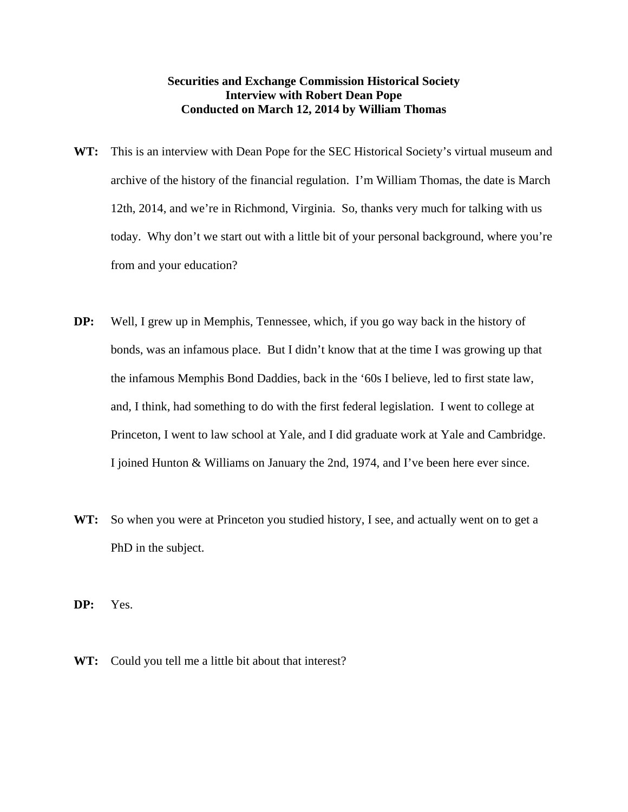## **Securities and Exchange Commission Historical Society Interview with Robert Dean Pope Conducted on March 12, 2014 by William Thomas**

- WT: This is an interview with Dean Pope for the SEC Historical Society's virtual museum and archive of the history of the financial regulation. I'm William Thomas, the date is March 12th, 2014, and we're in Richmond, Virginia. So, thanks very much for talking with us today. Why don't we start out with a little bit of your personal background, where you're from and your education?
- **DP:** Well, I grew up in Memphis, Tennessee, which, if you go way back in the history of bonds, was an infamous place. But I didn't know that at the time I was growing up that the infamous Memphis Bond Daddies, back in the '60s I believe, led to first state law, and, I think, had something to do with the first federal legislation. I went to college at Princeton, I went to law school at Yale, and I did graduate work at Yale and Cambridge. I joined Hunton & Williams on January the 2nd, 1974, and I've been here ever since.
- WT: So when you were at Princeton you studied history, I see, and actually went on to get a PhD in the subject.

**DP:** Yes.

**WT:** Could you tell me a little bit about that interest?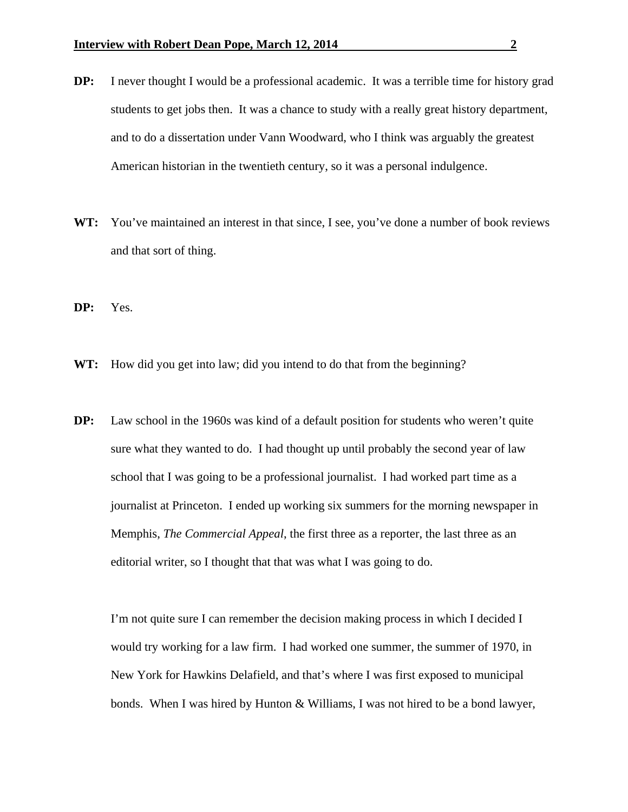- **DP:** I never thought I would be a professional academic. It was a terrible time for history grad students to get jobs then. It was a chance to study with a really great history department, and to do a dissertation under Vann Woodward, who I think was arguably the greatest American historian in the twentieth century, so it was a personal indulgence.
- WT: You've maintained an interest in that since, I see, you've done a number of book reviews and that sort of thing.
- **DP:** Yes.
- WT: How did you get into law; did you intend to do that from the beginning?
- **DP:** Law school in the 1960s was kind of a default position for students who weren't quite sure what they wanted to do. I had thought up until probably the second year of law school that I was going to be a professional journalist. I had worked part time as a journalist at Princeton. I ended up working six summers for the morning newspaper in Memphis, *The Commercial Appeal*, the first three as a reporter, the last three as an editorial writer, so I thought that that was what I was going to do.

 I'm not quite sure I can remember the decision making process in which I decided I would try working for a law firm. I had worked one summer, the summer of 1970, in New York for Hawkins Delafield, and that's where I was first exposed to municipal bonds. When I was hired by Hunton & Williams, I was not hired to be a bond lawyer,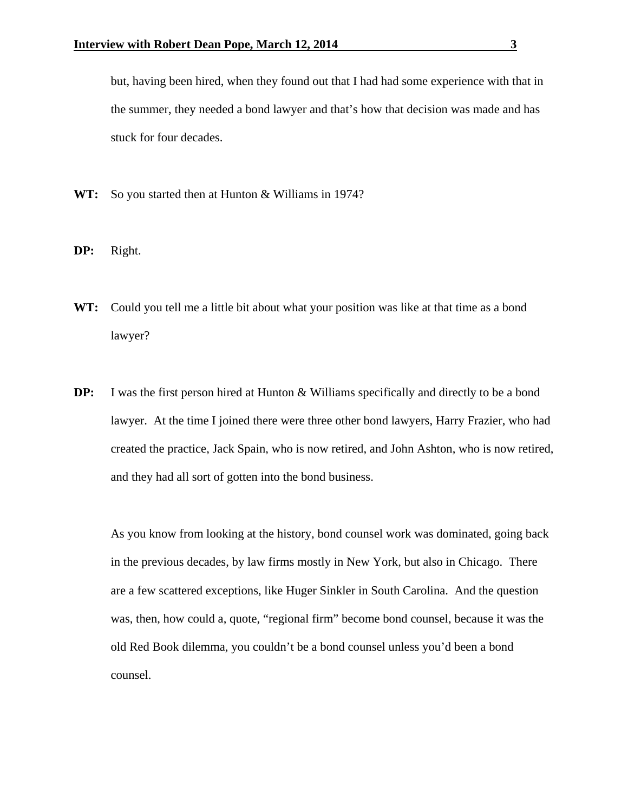but, having been hired, when they found out that I had had some experience with that in the summer, they needed a bond lawyer and that's how that decision was made and has stuck for four decades.

- **WT:** So you started then at Hunton & Williams in 1974?
- **DP:** Right.
- **WT:** Could you tell me a little bit about what your position was like at that time as a bond lawyer?
- **DP:** I was the first person hired at Hunton & Williams specifically and directly to be a bond lawyer. At the time I joined there were three other bond lawyers, Harry Frazier, who had created the practice, Jack Spain, who is now retired, and John Ashton, who is now retired, and they had all sort of gotten into the bond business.

 As you know from looking at the history, bond counsel work was dominated, going back in the previous decades, by law firms mostly in New York, but also in Chicago. There are a few scattered exceptions, like Huger Sinkler in South Carolina. And the question was, then, how could a, quote, "regional firm" become bond counsel, because it was the old Red Book dilemma, you couldn't be a bond counsel unless you'd been a bond counsel.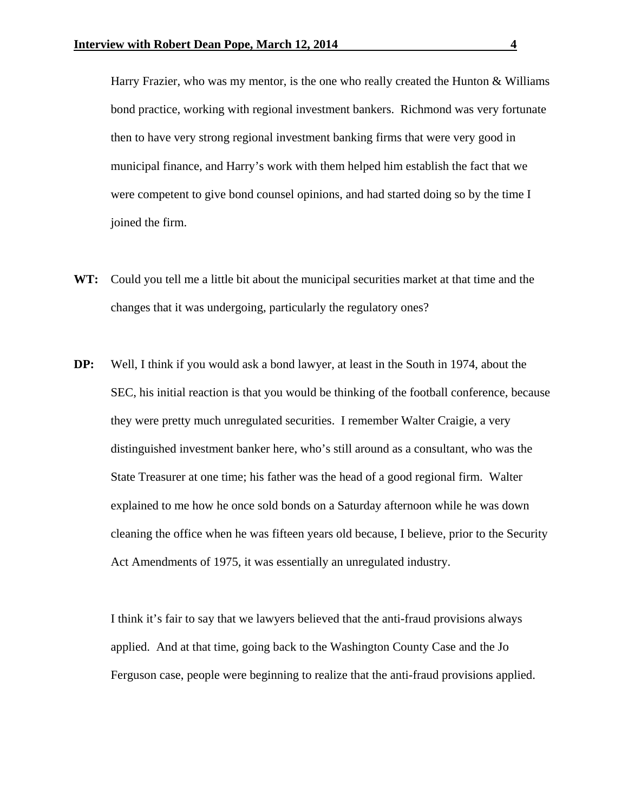Harry Frazier, who was my mentor, is the one who really created the Hunton  $\&$  Williams bond practice, working with regional investment bankers. Richmond was very fortunate then to have very strong regional investment banking firms that were very good in municipal finance, and Harry's work with them helped him establish the fact that we were competent to give bond counsel opinions, and had started doing so by the time I joined the firm.

- **WT:** Could you tell me a little bit about the municipal securities market at that time and the changes that it was undergoing, particularly the regulatory ones?
- **DP:** Well, I think if you would ask a bond lawyer, at least in the South in 1974, about the SEC, his initial reaction is that you would be thinking of the football conference, because they were pretty much unregulated securities. I remember Walter Craigie, a very distinguished investment banker here, who's still around as a consultant, who was the State Treasurer at one time; his father was the head of a good regional firm. Walter explained to me how he once sold bonds on a Saturday afternoon while he was down cleaning the office when he was fifteen years old because, I believe, prior to the Security Act Amendments of 1975, it was essentially an unregulated industry.

 I think it's fair to say that we lawyers believed that the anti-fraud provisions always applied. And at that time, going back to the Washington County Case and the Jo Ferguson case, people were beginning to realize that the anti-fraud provisions applied.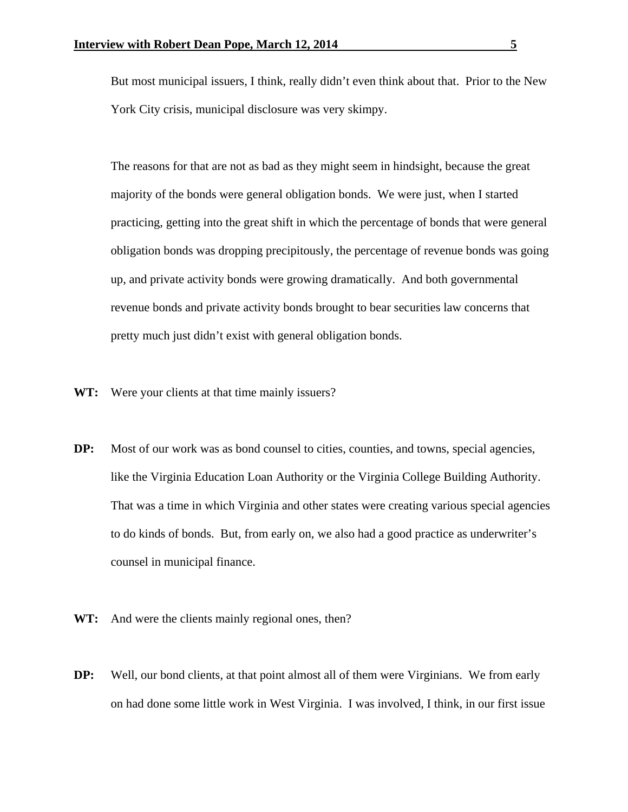But most municipal issuers, I think, really didn't even think about that. Prior to the New York City crisis, municipal disclosure was very skimpy.

 The reasons for that are not as bad as they might seem in hindsight, because the great majority of the bonds were general obligation bonds. We were just, when I started practicing, getting into the great shift in which the percentage of bonds that were general obligation bonds was dropping precipitously, the percentage of revenue bonds was going up, and private activity bonds were growing dramatically. And both governmental revenue bonds and private activity bonds brought to bear securities law concerns that pretty much just didn't exist with general obligation bonds.

- WT: Were your clients at that time mainly issuers?
- **DP:** Most of our work was as bond counsel to cities, counties, and towns, special agencies, like the Virginia Education Loan Authority or the Virginia College Building Authority. That was a time in which Virginia and other states were creating various special agencies to do kinds of bonds. But, from early on, we also had a good practice as underwriter's counsel in municipal finance.
- WT: And were the clients mainly regional ones, then?
- **DP:** Well, our bond clients, at that point almost all of them were Virginians. We from early on had done some little work in West Virginia. I was involved, I think, in our first issue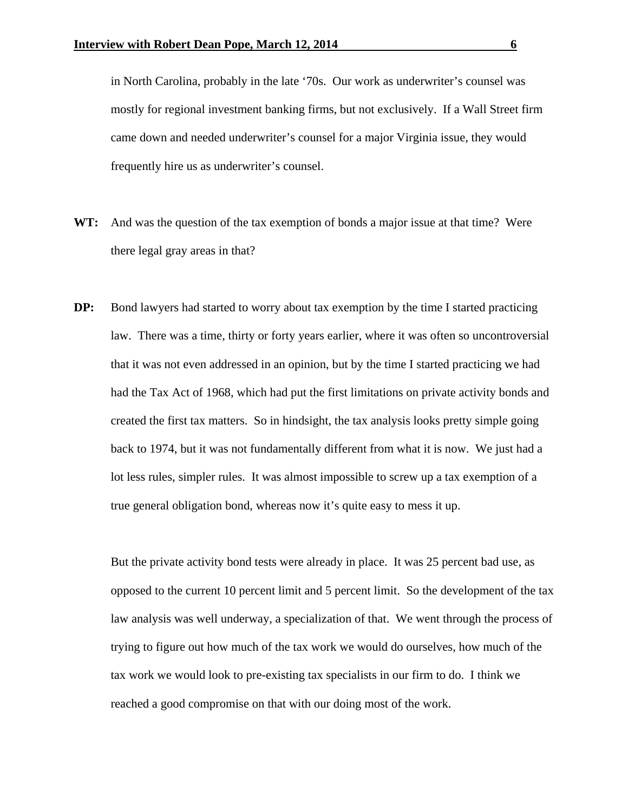in North Carolina, probably in the late '70s. Our work as underwriter's counsel was mostly for regional investment banking firms, but not exclusively. If a Wall Street firm came down and needed underwriter's counsel for a major Virginia issue, they would frequently hire us as underwriter's counsel.

- **WT:** And was the question of the tax exemption of bonds a major issue at that time? Were there legal gray areas in that?
- **DP:** Bond lawyers had started to worry about tax exemption by the time I started practicing law. There was a time, thirty or forty years earlier, where it was often so uncontroversial that it was not even addressed in an opinion, but by the time I started practicing we had had the Tax Act of 1968, which had put the first limitations on private activity bonds and created the first tax matters. So in hindsight, the tax analysis looks pretty simple going back to 1974, but it was not fundamentally different from what it is now. We just had a lot less rules, simpler rules. It was almost impossible to screw up a tax exemption of a true general obligation bond, whereas now it's quite easy to mess it up.

 But the private activity bond tests were already in place. It was 25 percent bad use, as opposed to the current 10 percent limit and 5 percent limit. So the development of the tax law analysis was well underway, a specialization of that. We went through the process of trying to figure out how much of the tax work we would do ourselves, how much of the tax work we would look to pre-existing tax specialists in our firm to do. I think we reached a good compromise on that with our doing most of the work.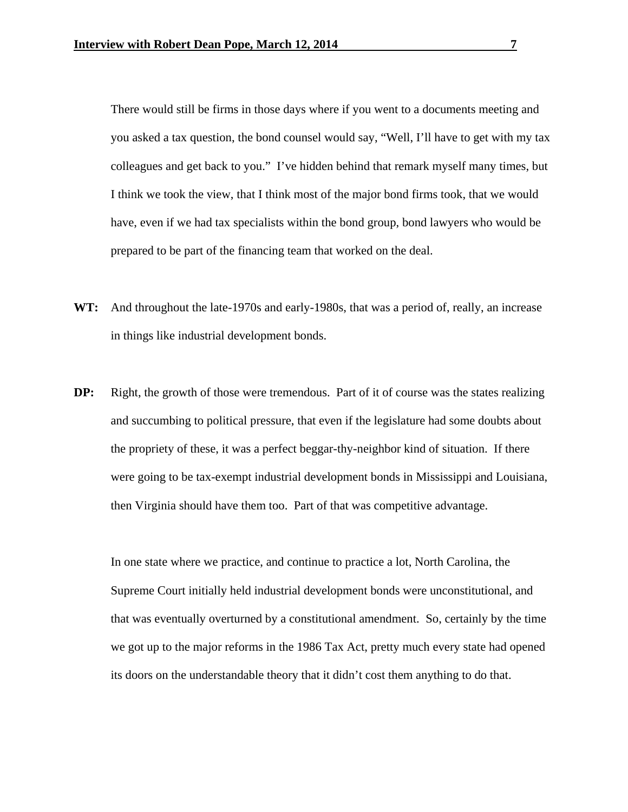There would still be firms in those days where if you went to a documents meeting and you asked a tax question, the bond counsel would say, "Well, I'll have to get with my tax colleagues and get back to you." I've hidden behind that remark myself many times, but I think we took the view, that I think most of the major bond firms took, that we would have, even if we had tax specialists within the bond group, bond lawyers who would be prepared to be part of the financing team that worked on the deal.

- **WT:** And throughout the late-1970s and early-1980s, that was a period of, really, an increase in things like industrial development bonds.
- **DP:** Right, the growth of those were tremendous. Part of it of course was the states realizing and succumbing to political pressure, that even if the legislature had some doubts about the propriety of these, it was a perfect beggar-thy-neighbor kind of situation. If there were going to be tax-exempt industrial development bonds in Mississippi and Louisiana, then Virginia should have them too. Part of that was competitive advantage.

 In one state where we practice, and continue to practice a lot, North Carolina, the Supreme Court initially held industrial development bonds were unconstitutional, and that was eventually overturned by a constitutional amendment. So, certainly by the time we got up to the major reforms in the 1986 Tax Act, pretty much every state had opened its doors on the understandable theory that it didn't cost them anything to do that.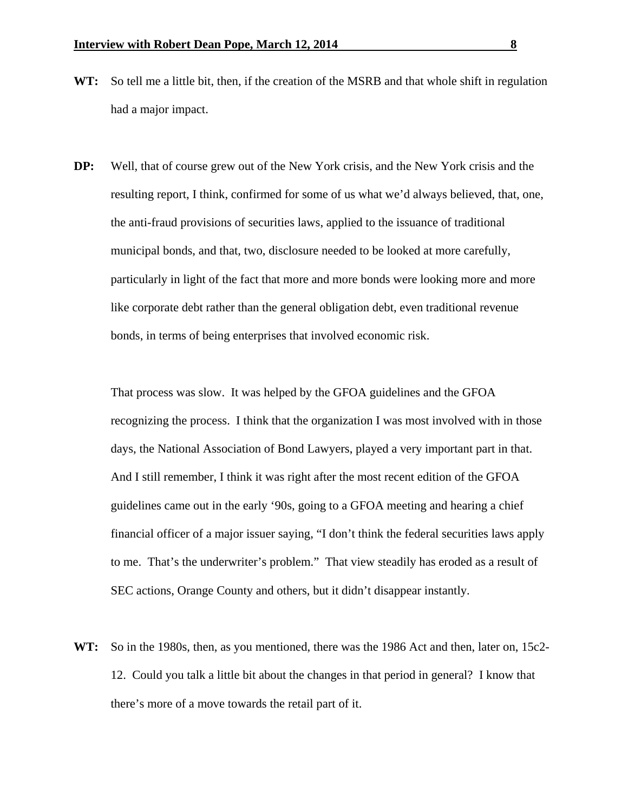- **WT:** So tell me a little bit, then, if the creation of the MSRB and that whole shift in regulation had a major impact.
- **DP:** Well, that of course grew out of the New York crisis, and the New York crisis and the resulting report, I think, confirmed for some of us what we'd always believed, that, one, the anti-fraud provisions of securities laws, applied to the issuance of traditional municipal bonds, and that, two, disclosure needed to be looked at more carefully, particularly in light of the fact that more and more bonds were looking more and more like corporate debt rather than the general obligation debt, even traditional revenue bonds, in terms of being enterprises that involved economic risk.

 That process was slow. It was helped by the GFOA guidelines and the GFOA recognizing the process. I think that the organization I was most involved with in those days, the National Association of Bond Lawyers, played a very important part in that. And I still remember, I think it was right after the most recent edition of the GFOA guidelines came out in the early '90s, going to a GFOA meeting and hearing a chief financial officer of a major issuer saying, "I don't think the federal securities laws apply to me. That's the underwriter's problem." That view steadily has eroded as a result of SEC actions, Orange County and others, but it didn't disappear instantly.

**WT:** So in the 1980s, then, as you mentioned, there was the 1986 Act and then, later on, 15c2- 12. Could you talk a little bit about the changes in that period in general? I know that there's more of a move towards the retail part of it.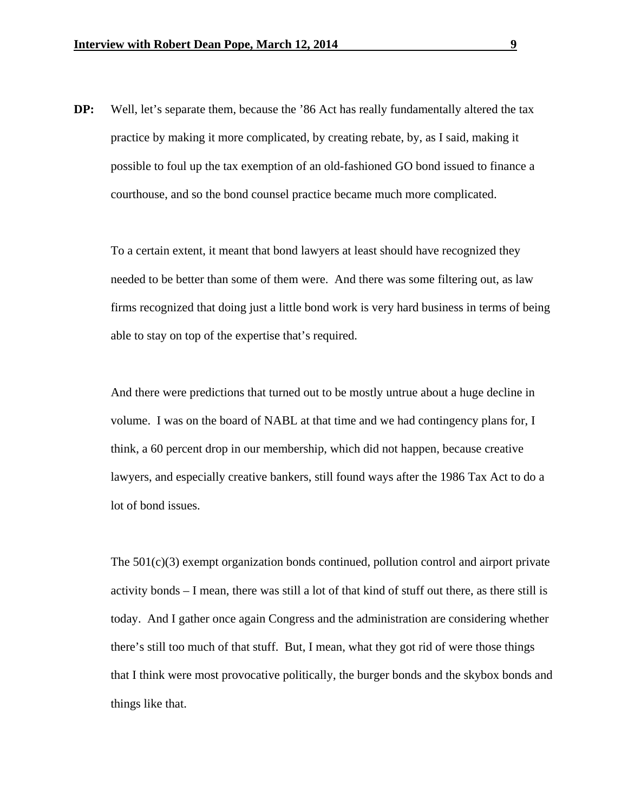**DP:** Well, let's separate them, because the '86 Act has really fundamentally altered the tax practice by making it more complicated, by creating rebate, by, as I said, making it possible to foul up the tax exemption of an old-fashioned GO bond issued to finance a courthouse, and so the bond counsel practice became much more complicated.

 To a certain extent, it meant that bond lawyers at least should have recognized they needed to be better than some of them were. And there was some filtering out, as law firms recognized that doing just a little bond work is very hard business in terms of being able to stay on top of the expertise that's required.

 And there were predictions that turned out to be mostly untrue about a huge decline in volume. I was on the board of NABL at that time and we had contingency plans for, I think, a 60 percent drop in our membership, which did not happen, because creative lawyers, and especially creative bankers, still found ways after the 1986 Tax Act to do a lot of bond issues.

The  $501(c)(3)$  exempt organization bonds continued, pollution control and airport private activity bonds – I mean, there was still a lot of that kind of stuff out there, as there still is today. And I gather once again Congress and the administration are considering whether there's still too much of that stuff. But, I mean, what they got rid of were those things that I think were most provocative politically, the burger bonds and the skybox bonds and things like that.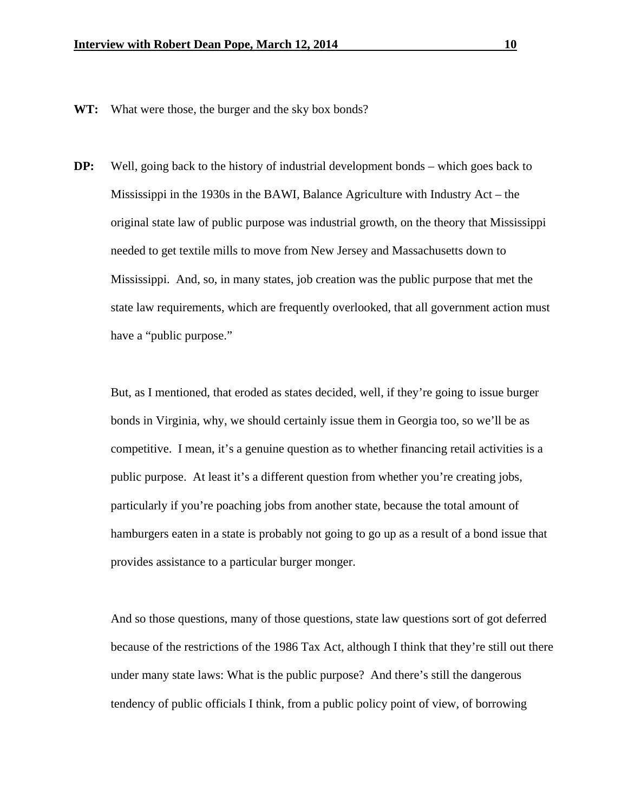- **WT:** What were those, the burger and the sky box bonds?
- **DP:** Well, going back to the history of industrial development bonds which goes back to Mississippi in the 1930s in the BAWI, Balance Agriculture with Industry Act – the original state law of public purpose was industrial growth, on the theory that Mississippi needed to get textile mills to move from New Jersey and Massachusetts down to Mississippi. And, so, in many states, job creation was the public purpose that met the state law requirements, which are frequently overlooked, that all government action must have a "public purpose."

 But, as I mentioned, that eroded as states decided, well, if they're going to issue burger bonds in Virginia, why, we should certainly issue them in Georgia too, so we'll be as competitive. I mean, it's a genuine question as to whether financing retail activities is a public purpose. At least it's a different question from whether you're creating jobs, particularly if you're poaching jobs from another state, because the total amount of hamburgers eaten in a state is probably not going to go up as a result of a bond issue that provides assistance to a particular burger monger.

 And so those questions, many of those questions, state law questions sort of got deferred because of the restrictions of the 1986 Tax Act, although I think that they're still out there under many state laws: What is the public purpose? And there's still the dangerous tendency of public officials I think, from a public policy point of view, of borrowing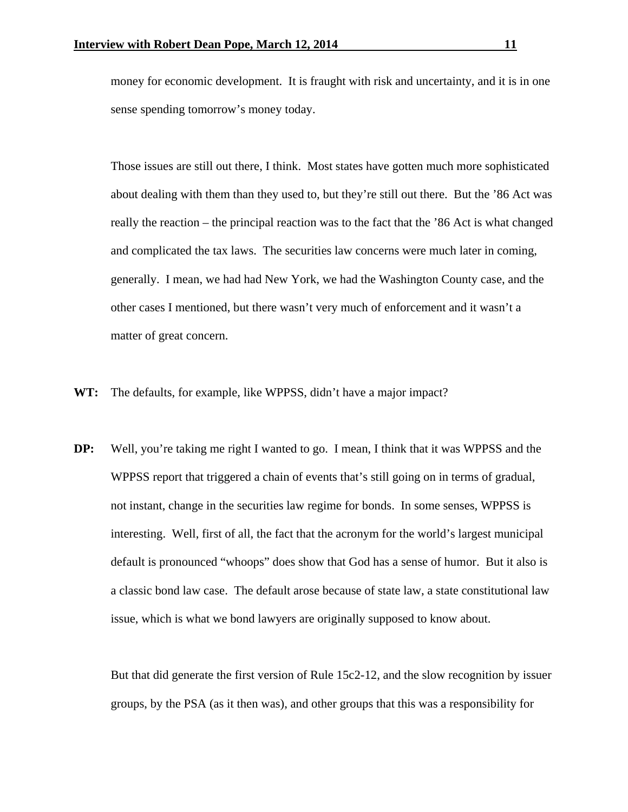money for economic development. It is fraught with risk and uncertainty, and it is in one sense spending tomorrow's money today.

 Those issues are still out there, I think. Most states have gotten much more sophisticated about dealing with them than they used to, but they're still out there. But the '86 Act was really the reaction – the principal reaction was to the fact that the '86 Act is what changed and complicated the tax laws. The securities law concerns were much later in coming, generally. I mean, we had had New York, we had the Washington County case, and the other cases I mentioned, but there wasn't very much of enforcement and it wasn't a matter of great concern.

- **WT:** The defaults, for example, like WPPSS, didn't have a major impact?
- **DP:** Well, you're taking me right I wanted to go. I mean, I think that it was WPPSS and the WPPSS report that triggered a chain of events that's still going on in terms of gradual, not instant, change in the securities law regime for bonds. In some senses, WPPSS is interesting. Well, first of all, the fact that the acronym for the world's largest municipal default is pronounced "whoops" does show that God has a sense of humor. But it also is a classic bond law case. The default arose because of state law, a state constitutional law issue, which is what we bond lawyers are originally supposed to know about.

 But that did generate the first version of Rule 15c2-12, and the slow recognition by issuer groups, by the PSA (as it then was), and other groups that this was a responsibility for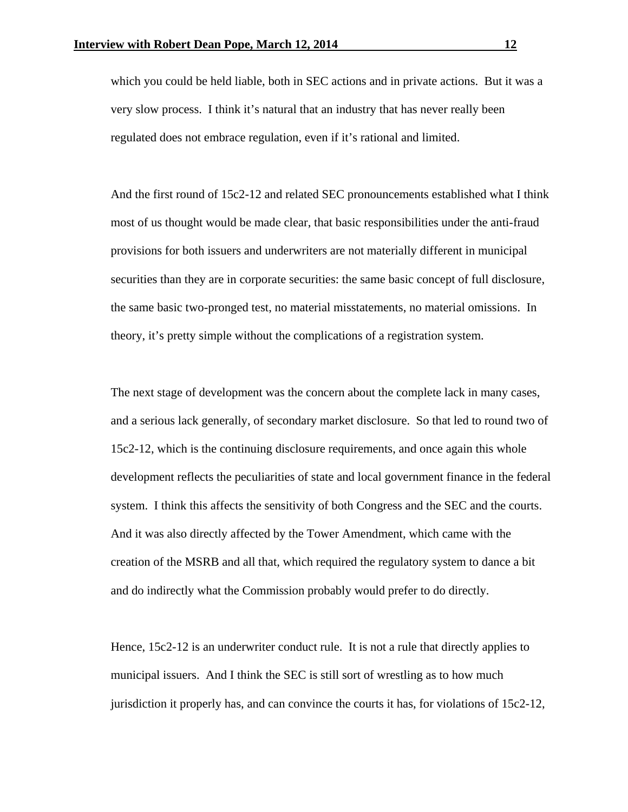which you could be held liable, both in SEC actions and in private actions. But it was a very slow process. I think it's natural that an industry that has never really been regulated does not embrace regulation, even if it's rational and limited.

And the first round of 15c2-12 and related SEC pronouncements established what I think most of us thought would be made clear, that basic responsibilities under the anti-fraud provisions for both issuers and underwriters are not materially different in municipal securities than they are in corporate securities: the same basic concept of full disclosure, the same basic two-pronged test, no material misstatements, no material omissions. In theory, it's pretty simple without the complications of a registration system.

The next stage of development was the concern about the complete lack in many cases, and a serious lack generally, of secondary market disclosure. So that led to round two of 15c2-12, which is the continuing disclosure requirements, and once again this whole development reflects the peculiarities of state and local government finance in the federal system. I think this affects the sensitivity of both Congress and the SEC and the courts. And it was also directly affected by the Tower Amendment, which came with the creation of the MSRB and all that, which required the regulatory system to dance a bit and do indirectly what the Commission probably would prefer to do directly.

Hence, 15c2-12 is an underwriter conduct rule. It is not a rule that directly applies to municipal issuers. And I think the SEC is still sort of wrestling as to how much jurisdiction it properly has, and can convince the courts it has, for violations of 15c2-12,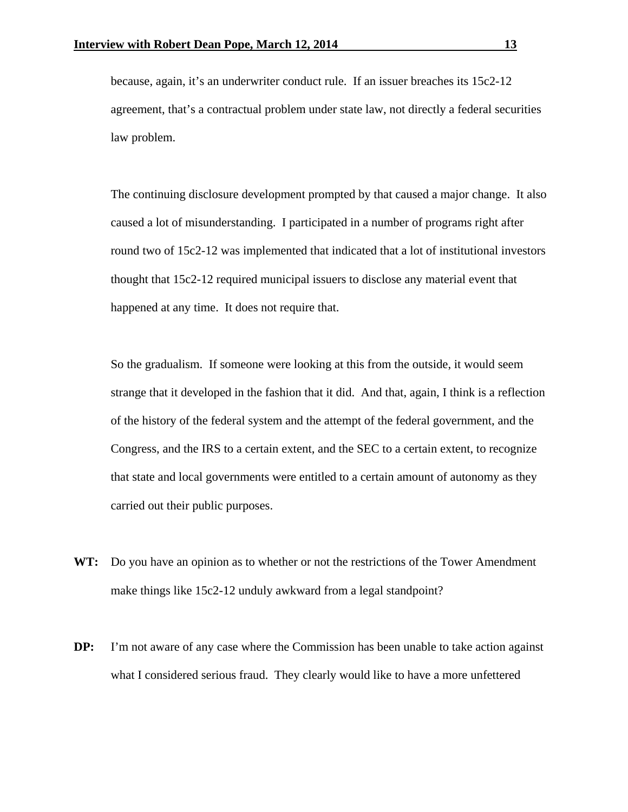because, again, it's an underwriter conduct rule. If an issuer breaches its 15c2-12 agreement, that's a contractual problem under state law, not directly a federal securities law problem.

The continuing disclosure development prompted by that caused a major change. It also caused a lot of misunderstanding. I participated in a number of programs right after round two of 15c2-12 was implemented that indicated that a lot of institutional investors thought that 15c2-12 required municipal issuers to disclose any material event that happened at any time. It does not require that.

So the gradualism. If someone were looking at this from the outside, it would seem strange that it developed in the fashion that it did. And that, again, I think is a reflection of the history of the federal system and the attempt of the federal government, and the Congress, and the IRS to a certain extent, and the SEC to a certain extent, to recognize that state and local governments were entitled to a certain amount of autonomy as they carried out their public purposes.

- **WT:** Do you have an opinion as to whether or not the restrictions of the Tower Amendment make things like 15c2-12 unduly awkward from a legal standpoint?
- **DP:** I'm not aware of any case where the Commission has been unable to take action against what I considered serious fraud. They clearly would like to have a more unfettered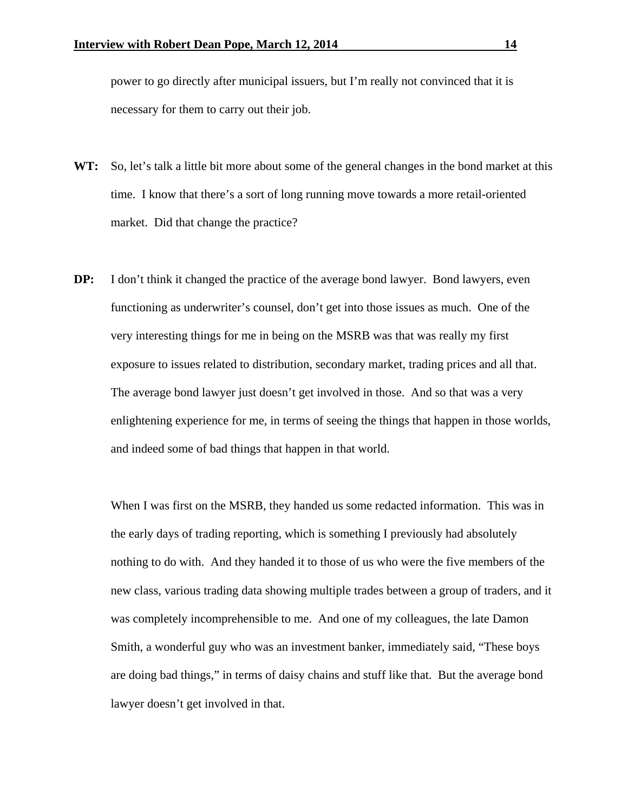power to go directly after municipal issuers, but I'm really not convinced that it is necessary for them to carry out their job.

- **WT:** So, let's talk a little bit more about some of the general changes in the bond market at this time. I know that there's a sort of long running move towards a more retail-oriented market. Did that change the practice?
- **DP:** I don't think it changed the practice of the average bond lawyer. Bond lawyers, even functioning as underwriter's counsel, don't get into those issues as much. One of the very interesting things for me in being on the MSRB was that was really my first exposure to issues related to distribution, secondary market, trading prices and all that. The average bond lawyer just doesn't get involved in those. And so that was a very enlightening experience for me, in terms of seeing the things that happen in those worlds, and indeed some of bad things that happen in that world.

 When I was first on the MSRB, they handed us some redacted information. This was in the early days of trading reporting, which is something I previously had absolutely nothing to do with. And they handed it to those of us who were the five members of the new class, various trading data showing multiple trades between a group of traders, and it was completely incomprehensible to me. And one of my colleagues, the late Damon Smith, a wonderful guy who was an investment banker, immediately said, "These boys are doing bad things," in terms of daisy chains and stuff like that. But the average bond lawyer doesn't get involved in that.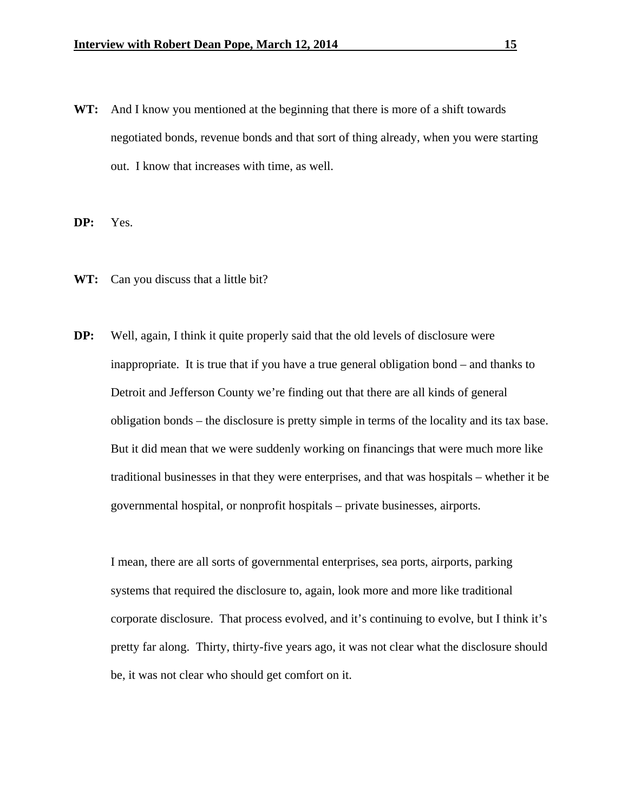**WT:** And I know you mentioned at the beginning that there is more of a shift towards negotiated bonds, revenue bonds and that sort of thing already, when you were starting out. I know that increases with time, as well.

**DP:** Yes.

- WT: Can you discuss that a little bit?
- **DP:** Well, again, I think it quite properly said that the old levels of disclosure were inappropriate. It is true that if you have a true general obligation bond – and thanks to Detroit and Jefferson County we're finding out that there are all kinds of general obligation bonds – the disclosure is pretty simple in terms of the locality and its tax base. But it did mean that we were suddenly working on financings that were much more like traditional businesses in that they were enterprises, and that was hospitals – whether it be governmental hospital, or nonprofit hospitals – private businesses, airports.

I mean, there are all sorts of governmental enterprises, sea ports, airports, parking systems that required the disclosure to, again, look more and more like traditional corporate disclosure. That process evolved, and it's continuing to evolve, but I think it's pretty far along. Thirty, thirty-five years ago, it was not clear what the disclosure should be, it was not clear who should get comfort on it.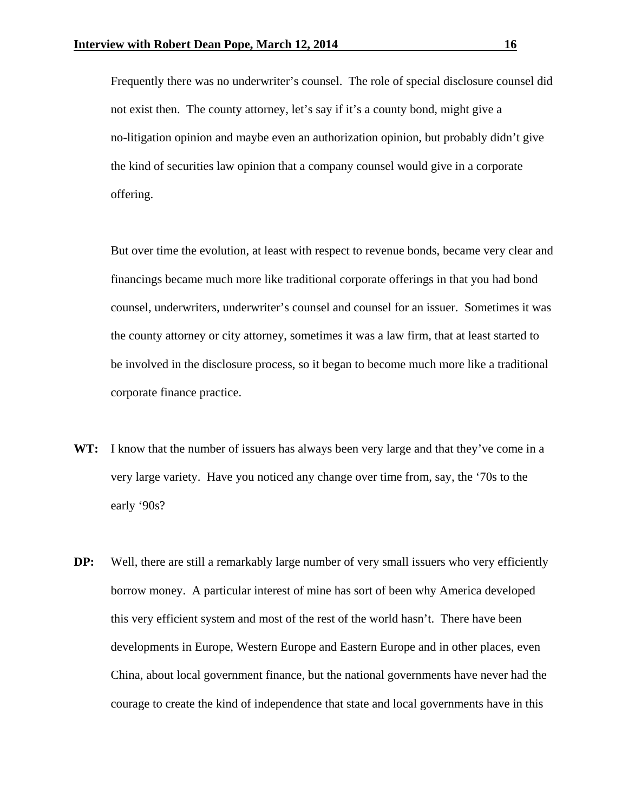Frequently there was no underwriter's counsel. The role of special disclosure counsel did not exist then. The county attorney, let's say if it's a county bond, might give a no-litigation opinion and maybe even an authorization opinion, but probably didn't give the kind of securities law opinion that a company counsel would give in a corporate offering.

But over time the evolution, at least with respect to revenue bonds, became very clear and financings became much more like traditional corporate offerings in that you had bond counsel, underwriters, underwriter's counsel and counsel for an issuer. Sometimes it was the county attorney or city attorney, sometimes it was a law firm, that at least started to be involved in the disclosure process, so it began to become much more like a traditional corporate finance practice.

- **WT:** I know that the number of issuers has always been very large and that they've come in a very large variety. Have you noticed any change over time from, say, the '70s to the early '90s?
- **DP:** Well, there are still a remarkably large number of very small issuers who very efficiently borrow money. A particular interest of mine has sort of been why America developed this very efficient system and most of the rest of the world hasn't. There have been developments in Europe, Western Europe and Eastern Europe and in other places, even China, about local government finance, but the national governments have never had the courage to create the kind of independence that state and local governments have in this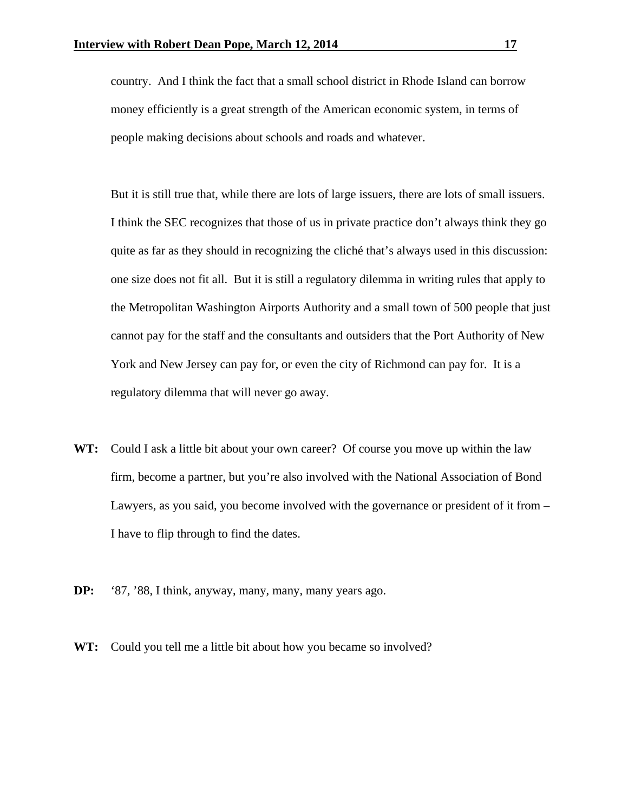country. And I think the fact that a small school district in Rhode Island can borrow money efficiently is a great strength of the American economic system, in terms of people making decisions about schools and roads and whatever.

But it is still true that, while there are lots of large issuers, there are lots of small issuers. I think the SEC recognizes that those of us in private practice don't always think they go quite as far as they should in recognizing the cliché that's always used in this discussion: one size does not fit all. But it is still a regulatory dilemma in writing rules that apply to the Metropolitan Washington Airports Authority and a small town of 500 people that just cannot pay for the staff and the consultants and outsiders that the Port Authority of New York and New Jersey can pay for, or even the city of Richmond can pay for. It is a regulatory dilemma that will never go away.

- **WT:** Could I ask a little bit about your own career? Of course you move up within the law firm, become a partner, but you're also involved with the National Association of Bond Lawyers, as you said, you become involved with the governance or president of it from – I have to flip through to find the dates.
- **DP:** '87, '88, I think, anyway, many, many, many years ago.
- **WT:** Could you tell me a little bit about how you became so involved?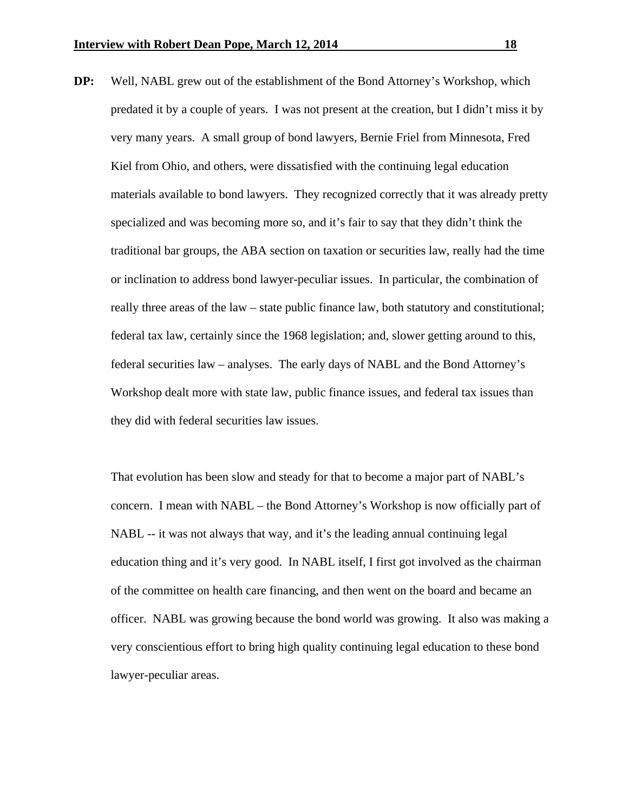**DP:** Well, NABL grew out of the establishment of the Bond Attorney's Workshop, which predated it by a couple of years. I was not present at the creation, but I didn't miss it by very many years. A small group of bond lawyers, Bernie Friel from Minnesota, Fred Kiel from Ohio, and others, were dissatisfied with the continuing legal education materials available to bond lawyers. They recognized correctly that it was already pretty specialized and was becoming more so, and it's fair to say that they didn't think the traditional bar groups, the ABA section on taxation or securities law, really had the time or inclination to address bond lawyer-peculiar issues. In particular, the combination of really three areas of the law – state public finance law, both statutory and constitutional; federal tax law, certainly since the 1968 legislation; and, slower getting around to this, federal securities law – analyses. The early days of NABL and the Bond Attorney's Workshop dealt more with state law, public finance issues, and federal tax issues than they did with federal securities law issues.

That evolution has been slow and steady for that to become a major part of NABL's concern. I mean with NABL – the Bond Attorney's Workshop is now officially part of NABL -- it was not always that way, and it's the leading annual continuing legal education thing and it's very good. In NABL itself, I first got involved as the chairman of the committee on health care financing, and then went on the board and became an officer. NABL was growing because the bond world was growing. It also was making a very conscientious effort to bring high quality continuing legal education to these bond lawyer-peculiar areas.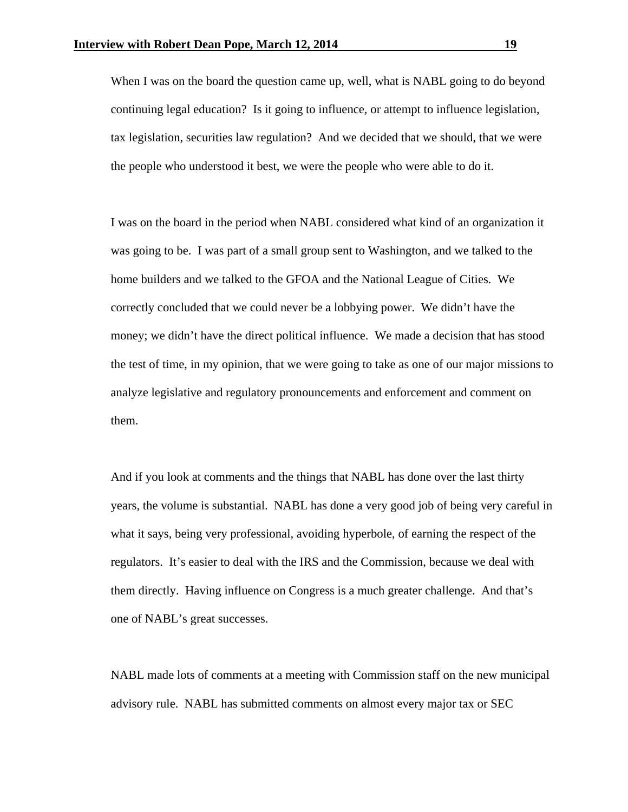When I was on the board the question came up, well, what is NABL going to do beyond continuing legal education? Is it going to influence, or attempt to influence legislation, tax legislation, securities law regulation? And we decided that we should, that we were the people who understood it best, we were the people who were able to do it.

I was on the board in the period when NABL considered what kind of an organization it was going to be. I was part of a small group sent to Washington, and we talked to the home builders and we talked to the GFOA and the National League of Cities. We correctly concluded that we could never be a lobbying power. We didn't have the money; we didn't have the direct political influence. We made a decision that has stood the test of time, in my opinion, that we were going to take as one of our major missions to analyze legislative and regulatory pronouncements and enforcement and comment on them.

And if you look at comments and the things that NABL has done over the last thirty years, the volume is substantial. NABL has done a very good job of being very careful in what it says, being very professional, avoiding hyperbole, of earning the respect of the regulators. It's easier to deal with the IRS and the Commission, because we deal with them directly. Having influence on Congress is a much greater challenge. And that's one of NABL's great successes.

NABL made lots of comments at a meeting with Commission staff on the new municipal advisory rule. NABL has submitted comments on almost every major tax or SEC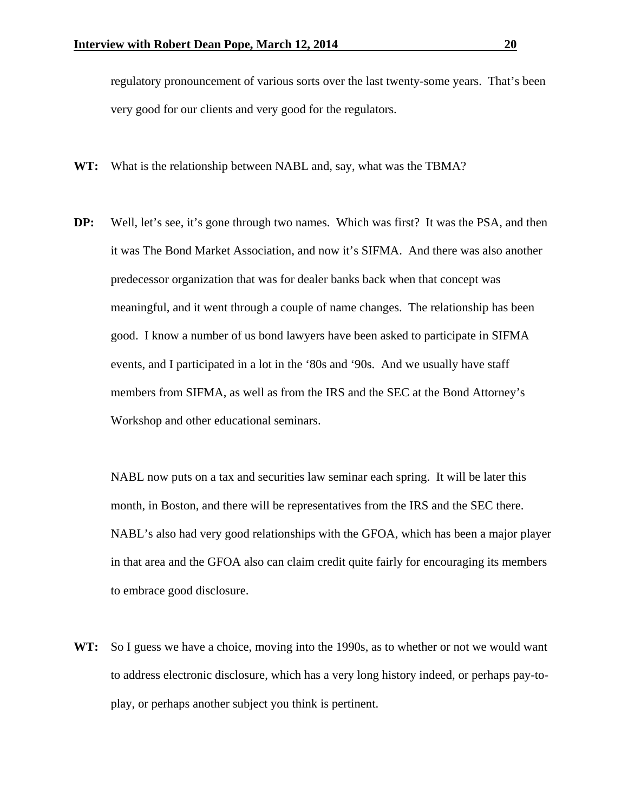regulatory pronouncement of various sorts over the last twenty-some years. That's been very good for our clients and very good for the regulators.

- **WT:** What is the relationship between NABL and, say, what was the TBMA?
- **DP:** Well, let's see, it's gone through two names. Which was first? It was the PSA, and then it was The Bond Market Association, and now it's SIFMA. And there was also another predecessor organization that was for dealer banks back when that concept was meaningful, and it went through a couple of name changes. The relationship has been good. I know a number of us bond lawyers have been asked to participate in SIFMA events, and I participated in a lot in the '80s and '90s. And we usually have staff members from SIFMA, as well as from the IRS and the SEC at the Bond Attorney's Workshop and other educational seminars.

NABL now puts on a tax and securities law seminar each spring. It will be later this month, in Boston, and there will be representatives from the IRS and the SEC there. NABL's also had very good relationships with the GFOA, which has been a major player in that area and the GFOA also can claim credit quite fairly for encouraging its members to embrace good disclosure.

**WT:** So I guess we have a choice, moving into the 1990s, as to whether or not we would want to address electronic disclosure, which has a very long history indeed, or perhaps pay-toplay, or perhaps another subject you think is pertinent.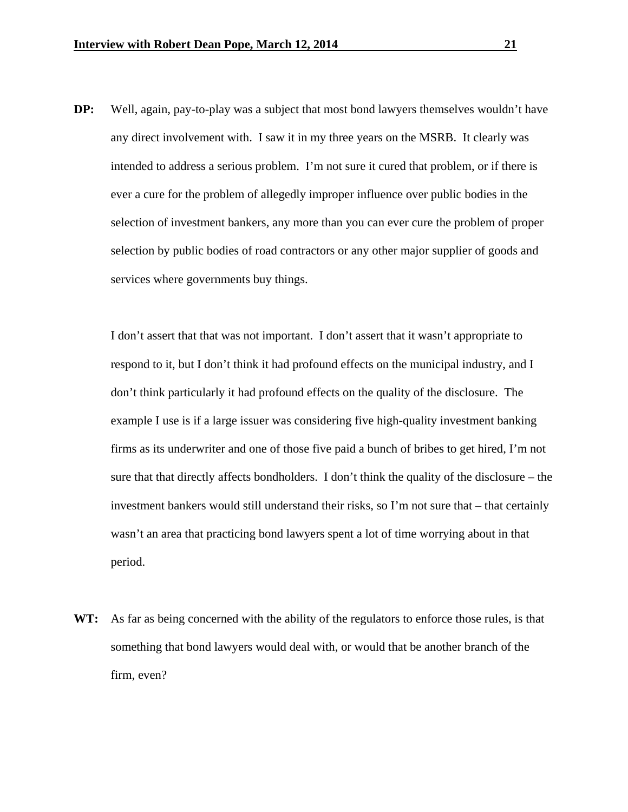**DP:** Well, again, pay-to-play was a subject that most bond lawyers themselves wouldn't have any direct involvement with. I saw it in my three years on the MSRB. It clearly was intended to address a serious problem. I'm not sure it cured that problem, or if there is ever a cure for the problem of allegedly improper influence over public bodies in the selection of investment bankers, any more than you can ever cure the problem of proper selection by public bodies of road contractors or any other major supplier of goods and services where governments buy things.

 I don't assert that that was not important. I don't assert that it wasn't appropriate to respond to it, but I don't think it had profound effects on the municipal industry, and I don't think particularly it had profound effects on the quality of the disclosure. The example I use is if a large issuer was considering five high-quality investment banking firms as its underwriter and one of those five paid a bunch of bribes to get hired, I'm not sure that that directly affects bondholders. I don't think the quality of the disclosure – the investment bankers would still understand their risks, so I'm not sure that – that certainly wasn't an area that practicing bond lawyers spent a lot of time worrying about in that period.

**WT:** As far as being concerned with the ability of the regulators to enforce those rules, is that something that bond lawyers would deal with, or would that be another branch of the firm, even?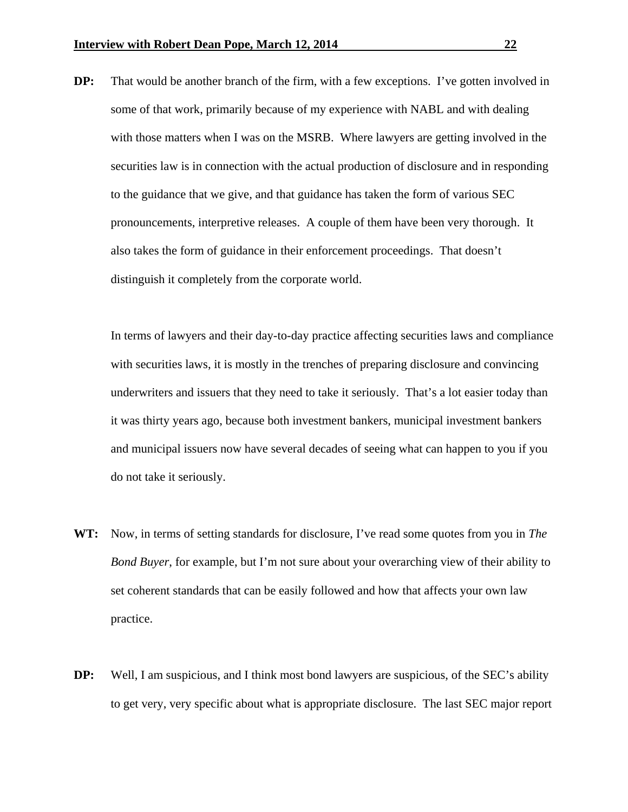**DP:** That would be another branch of the firm, with a few exceptions. I've gotten involved in some of that work, primarily because of my experience with NABL and with dealing with those matters when I was on the MSRB. Where lawyers are getting involved in the securities law is in connection with the actual production of disclosure and in responding to the guidance that we give, and that guidance has taken the form of various SEC pronouncements, interpretive releases. A couple of them have been very thorough. It also takes the form of guidance in their enforcement proceedings. That doesn't distinguish it completely from the corporate world.

 In terms of lawyers and their day-to-day practice affecting securities laws and compliance with securities laws, it is mostly in the trenches of preparing disclosure and convincing underwriters and issuers that they need to take it seriously. That's a lot easier today than it was thirty years ago, because both investment bankers, municipal investment bankers and municipal issuers now have several decades of seeing what can happen to you if you do not take it seriously.

- **WT:** Now, in terms of setting standards for disclosure, I've read some quotes from you in *The Bond Buyer*, for example, but I'm not sure about your overarching view of their ability to set coherent standards that can be easily followed and how that affects your own law practice.
- **DP:** Well, I am suspicious, and I think most bond lawyers are suspicious, of the SEC's ability to get very, very specific about what is appropriate disclosure. The last SEC major report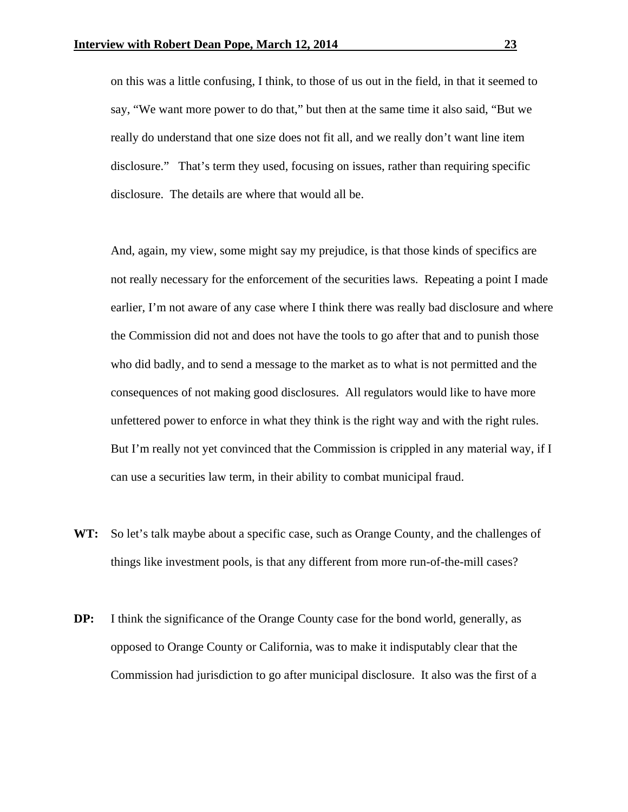on this was a little confusing, I think, to those of us out in the field, in that it seemed to say, "We want more power to do that," but then at the same time it also said, "But we really do understand that one size does not fit all, and we really don't want line item disclosure." That's term they used, focusing on issues, rather than requiring specific disclosure. The details are where that would all be.

 And, again, my view, some might say my prejudice, is that those kinds of specifics are not really necessary for the enforcement of the securities laws. Repeating a point I made earlier, I'm not aware of any case where I think there was really bad disclosure and where the Commission did not and does not have the tools to go after that and to punish those who did badly, and to send a message to the market as to what is not permitted and the consequences of not making good disclosures. All regulators would like to have more unfettered power to enforce in what they think is the right way and with the right rules. But I'm really not yet convinced that the Commission is crippled in any material way, if I can use a securities law term, in their ability to combat municipal fraud.

- **WT:** So let's talk maybe about a specific case, such as Orange County, and the challenges of things like investment pools, is that any different from more run-of-the-mill cases?
- **DP:** I think the significance of the Orange County case for the bond world, generally, as opposed to Orange County or California, was to make it indisputably clear that the Commission had jurisdiction to go after municipal disclosure. It also was the first of a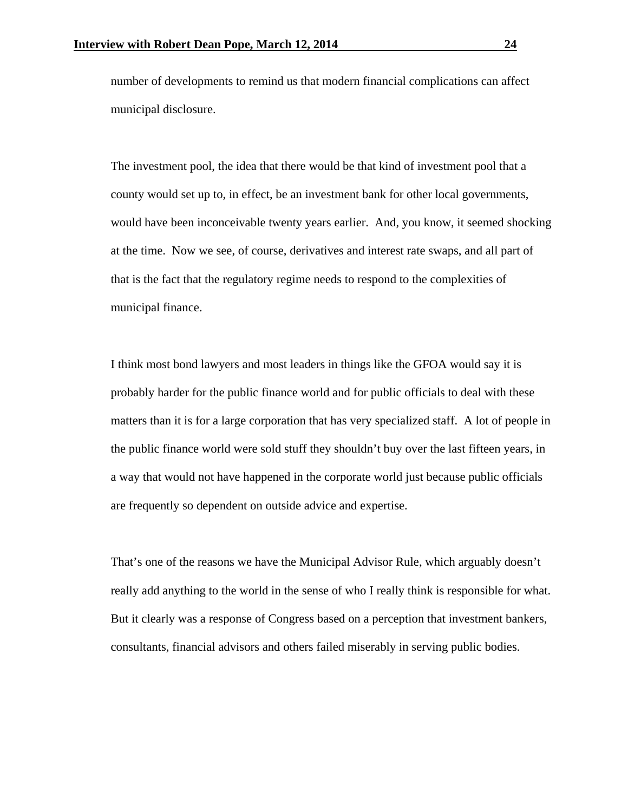number of developments to remind us that modern financial complications can affect municipal disclosure.

The investment pool, the idea that there would be that kind of investment pool that a county would set up to, in effect, be an investment bank for other local governments, would have been inconceivable twenty years earlier. And, you know, it seemed shocking at the time. Now we see, of course, derivatives and interest rate swaps, and all part of that is the fact that the regulatory regime needs to respond to the complexities of municipal finance.

I think most bond lawyers and most leaders in things like the GFOA would say it is probably harder for the public finance world and for public officials to deal with these matters than it is for a large corporation that has very specialized staff. A lot of people in the public finance world were sold stuff they shouldn't buy over the last fifteen years, in a way that would not have happened in the corporate world just because public officials are frequently so dependent on outside advice and expertise.

That's one of the reasons we have the Municipal Advisor Rule, which arguably doesn't really add anything to the world in the sense of who I really think is responsible for what. But it clearly was a response of Congress based on a perception that investment bankers, consultants, financial advisors and others failed miserably in serving public bodies.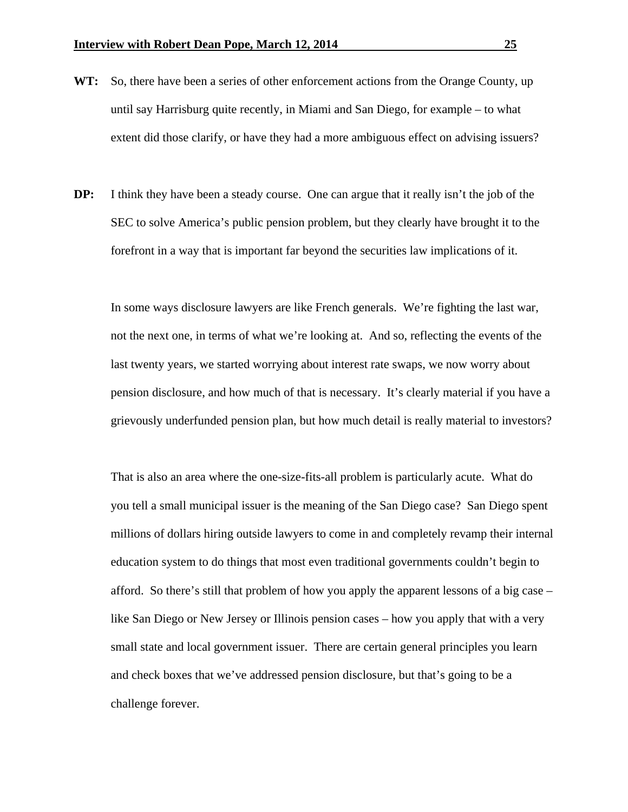- **WT:** So, there have been a series of other enforcement actions from the Orange County, up until say Harrisburg quite recently, in Miami and San Diego, for example – to what extent did those clarify, or have they had a more ambiguous effect on advising issuers?
- **DP:** I think they have been a steady course. One can argue that it really isn't the job of the SEC to solve America's public pension problem, but they clearly have brought it to the forefront in a way that is important far beyond the securities law implications of it.

In some ways disclosure lawyers are like French generals. We're fighting the last war, not the next one, in terms of what we're looking at. And so, reflecting the events of the last twenty years, we started worrying about interest rate swaps, we now worry about pension disclosure, and how much of that is necessary. It's clearly material if you have a grievously underfunded pension plan, but how much detail is really material to investors?

That is also an area where the one-size-fits-all problem is particularly acute. What do you tell a small municipal issuer is the meaning of the San Diego case? San Diego spent millions of dollars hiring outside lawyers to come in and completely revamp their internal education system to do things that most even traditional governments couldn't begin to afford. So there's still that problem of how you apply the apparent lessons of a big case – like San Diego or New Jersey or Illinois pension cases – how you apply that with a very small state and local government issuer. There are certain general principles you learn and check boxes that we've addressed pension disclosure, but that's going to be a challenge forever.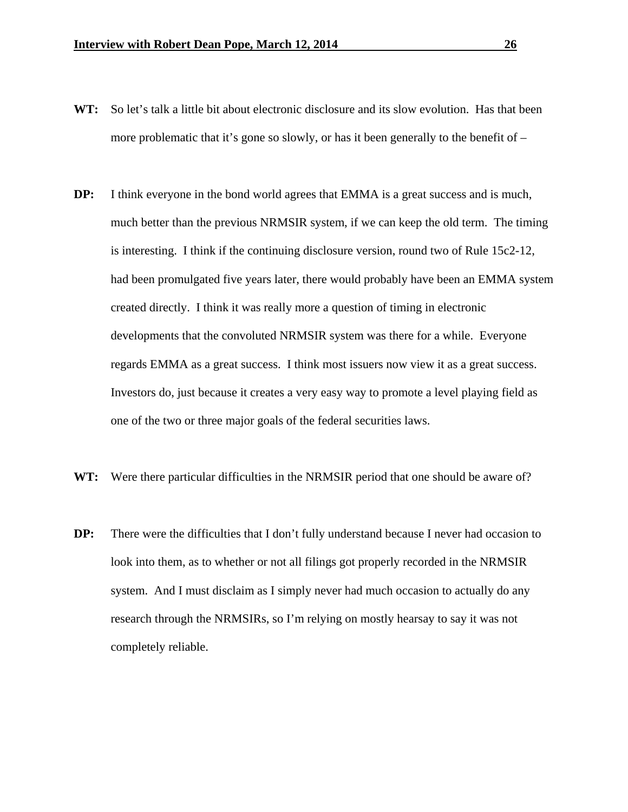- **WT:** So let's talk a little bit about electronic disclosure and its slow evolution. Has that been more problematic that it's gone so slowly, or has it been generally to the benefit of  $-$
- **DP:** I think everyone in the bond world agrees that EMMA is a great success and is much, much better than the previous NRMSIR system, if we can keep the old term. The timing is interesting. I think if the continuing disclosure version, round two of Rule 15c2-12, had been promulgated five years later, there would probably have been an EMMA system created directly. I think it was really more a question of timing in electronic developments that the convoluted NRMSIR system was there for a while. Everyone regards EMMA as a great success. I think most issuers now view it as a great success. Investors do, just because it creates a very easy way to promote a level playing field as one of the two or three major goals of the federal securities laws.
- **WT:** Were there particular difficulties in the NRMSIR period that one should be aware of?
- **DP:** There were the difficulties that I don't fully understand because I never had occasion to look into them, as to whether or not all filings got properly recorded in the NRMSIR system. And I must disclaim as I simply never had much occasion to actually do any research through the NRMSIRs, so I'm relying on mostly hearsay to say it was not completely reliable.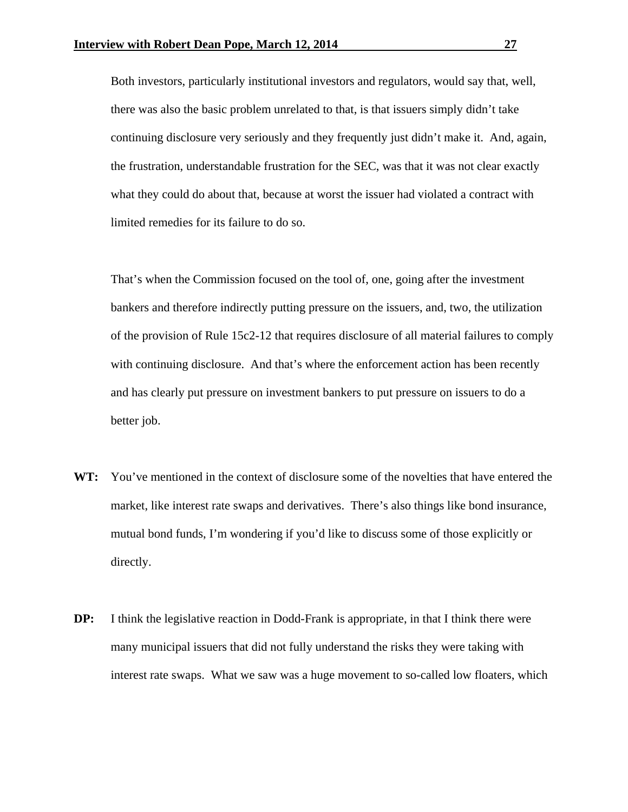Both investors, particularly institutional investors and regulators, would say that, well, there was also the basic problem unrelated to that, is that issuers simply didn't take continuing disclosure very seriously and they frequently just didn't make it. And, again, the frustration, understandable frustration for the SEC, was that it was not clear exactly what they could do about that, because at worst the issuer had violated a contract with limited remedies for its failure to do so.

That's when the Commission focused on the tool of, one, going after the investment bankers and therefore indirectly putting pressure on the issuers, and, two, the utilization of the provision of Rule 15c2-12 that requires disclosure of all material failures to comply with continuing disclosure. And that's where the enforcement action has been recently and has clearly put pressure on investment bankers to put pressure on issuers to do a better job.

- **WT:** You've mentioned in the context of disclosure some of the novelties that have entered the market, like interest rate swaps and derivatives. There's also things like bond insurance, mutual bond funds, I'm wondering if you'd like to discuss some of those explicitly or directly.
- **DP:** I think the legislative reaction in Dodd-Frank is appropriate, in that I think there were many municipal issuers that did not fully understand the risks they were taking with interest rate swaps. What we saw was a huge movement to so-called low floaters, which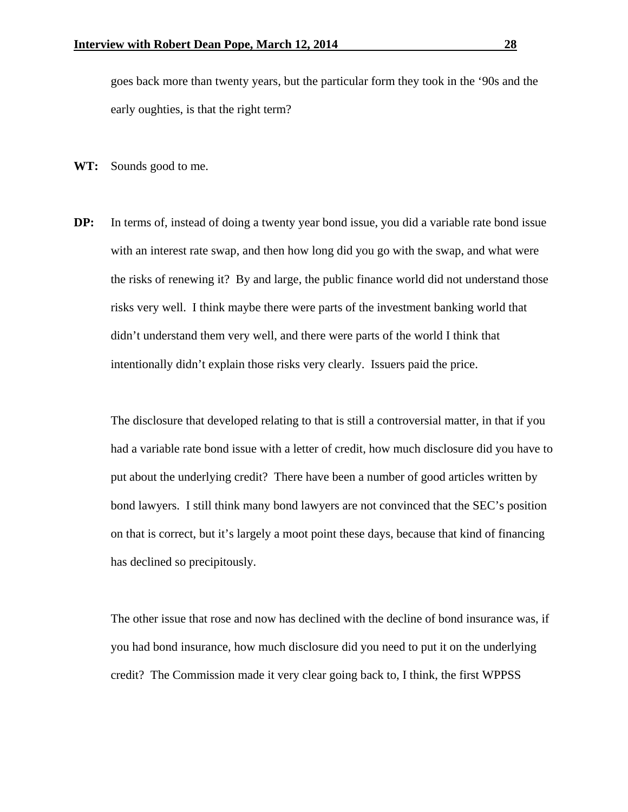goes back more than twenty years, but the particular form they took in the '90s and the early oughties, is that the right term?

- **WT:** Sounds good to me.
- **DP:** In terms of, instead of doing a twenty year bond issue, you did a variable rate bond issue with an interest rate swap, and then how long did you go with the swap, and what were the risks of renewing it? By and large, the public finance world did not understand those risks very well. I think maybe there were parts of the investment banking world that didn't understand them very well, and there were parts of the world I think that intentionally didn't explain those risks very clearly. Issuers paid the price.

The disclosure that developed relating to that is still a controversial matter, in that if you had a variable rate bond issue with a letter of credit, how much disclosure did you have to put about the underlying credit? There have been a number of good articles written by bond lawyers. I still think many bond lawyers are not convinced that the SEC's position on that is correct, but it's largely a moot point these days, because that kind of financing has declined so precipitously.

 The other issue that rose and now has declined with the decline of bond insurance was, if you had bond insurance, how much disclosure did you need to put it on the underlying credit? The Commission made it very clear going back to, I think, the first WPPSS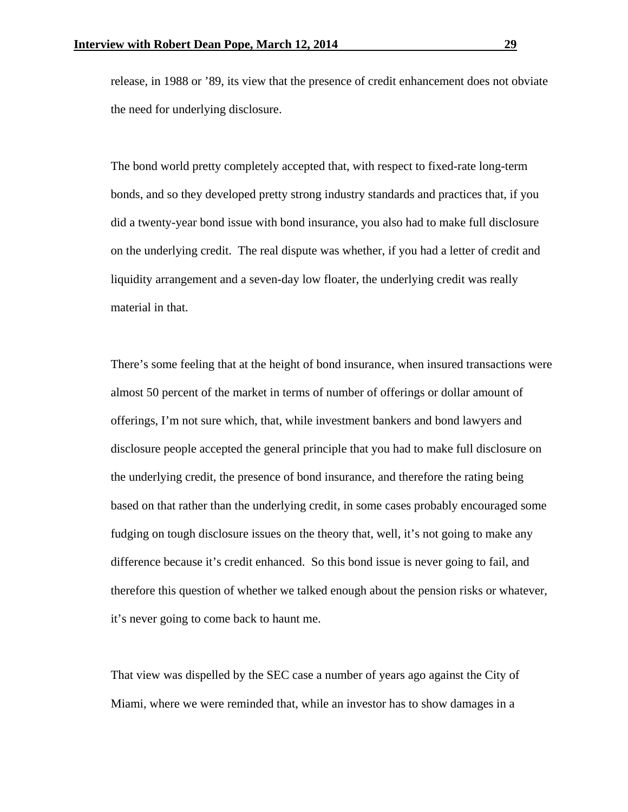release, in 1988 or '89, its view that the presence of credit enhancement does not obviate the need for underlying disclosure.

The bond world pretty completely accepted that, with respect to fixed-rate long-term bonds, and so they developed pretty strong industry standards and practices that, if you did a twenty-year bond issue with bond insurance, you also had to make full disclosure on the underlying credit. The real dispute was whether, if you had a letter of credit and liquidity arrangement and a seven-day low floater, the underlying credit was really material in that.

There's some feeling that at the height of bond insurance, when insured transactions were almost 50 percent of the market in terms of number of offerings or dollar amount of offerings, I'm not sure which, that, while investment bankers and bond lawyers and disclosure people accepted the general principle that you had to make full disclosure on the underlying credit, the presence of bond insurance, and therefore the rating being based on that rather than the underlying credit, in some cases probably encouraged some fudging on tough disclosure issues on the theory that, well, it's not going to make any difference because it's credit enhanced. So this bond issue is never going to fail, and therefore this question of whether we talked enough about the pension risks or whatever, it's never going to come back to haunt me.

That view was dispelled by the SEC case a number of years ago against the City of Miami, where we were reminded that, while an investor has to show damages in a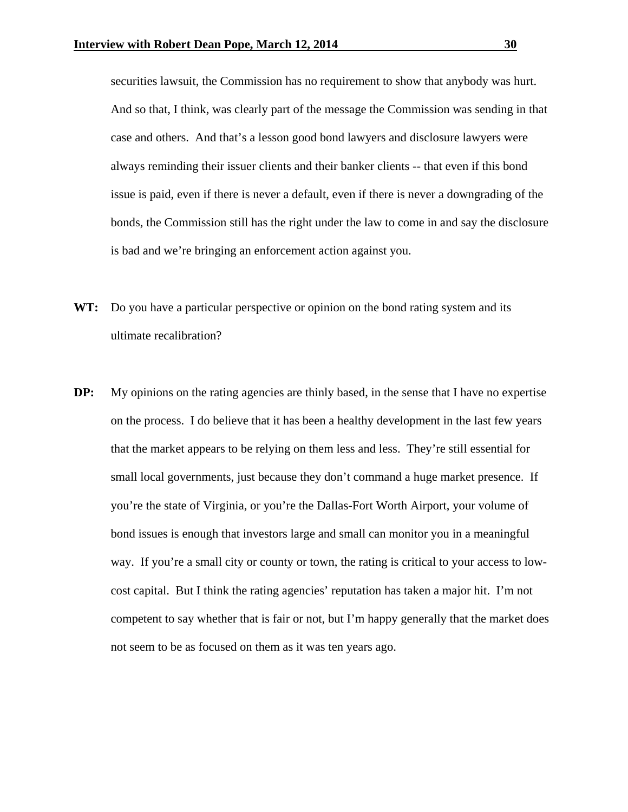securities lawsuit, the Commission has no requirement to show that anybody was hurt. And so that, I think, was clearly part of the message the Commission was sending in that case and others. And that's a lesson good bond lawyers and disclosure lawyers were always reminding their issuer clients and their banker clients -- that even if this bond issue is paid, even if there is never a default, even if there is never a downgrading of the bonds, the Commission still has the right under the law to come in and say the disclosure is bad and we're bringing an enforcement action against you.

- WT: Do you have a particular perspective or opinion on the bond rating system and its ultimate recalibration?
- **DP:** My opinions on the rating agencies are thinly based, in the sense that I have no expertise on the process. I do believe that it has been a healthy development in the last few years that the market appears to be relying on them less and less. They're still essential for small local governments, just because they don't command a huge market presence. If you're the state of Virginia, or you're the Dallas-Fort Worth Airport, your volume of bond issues is enough that investors large and small can monitor you in a meaningful way. If you're a small city or county or town, the rating is critical to your access to lowcost capital. But I think the rating agencies' reputation has taken a major hit. I'm not competent to say whether that is fair or not, but I'm happy generally that the market does not seem to be as focused on them as it was ten years ago.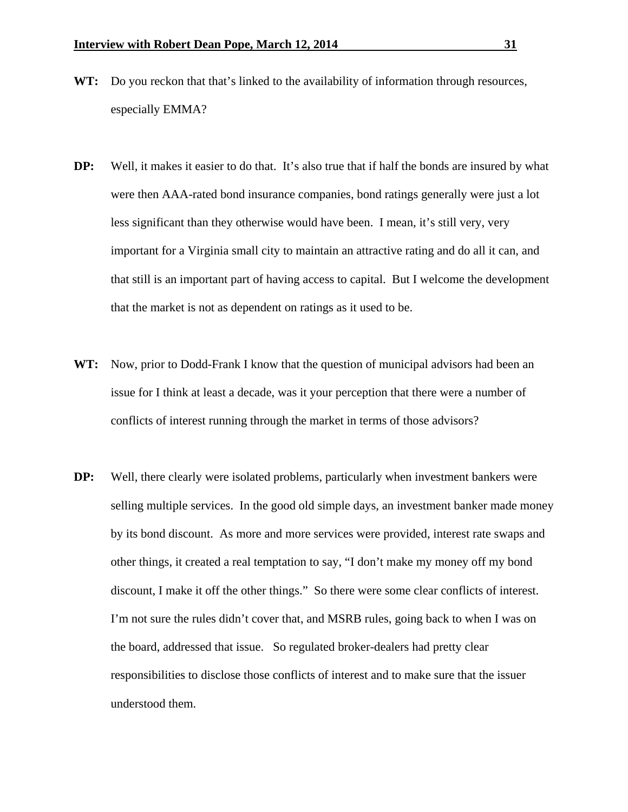- **WT:** Do you reckon that that's linked to the availability of information through resources, especially EMMA?
- **DP:** Well, it makes it easier to do that. It's also true that if half the bonds are insured by what were then AAA-rated bond insurance companies, bond ratings generally were just a lot less significant than they otherwise would have been. I mean, it's still very, very important for a Virginia small city to maintain an attractive rating and do all it can, and that still is an important part of having access to capital. But I welcome the development that the market is not as dependent on ratings as it used to be.
- **WT:** Now, prior to Dodd-Frank I know that the question of municipal advisors had been an issue for I think at least a decade, was it your perception that there were a number of conflicts of interest running through the market in terms of those advisors?
- **DP:** Well, there clearly were isolated problems, particularly when investment bankers were selling multiple services. In the good old simple days, an investment banker made money by its bond discount. As more and more services were provided, interest rate swaps and other things, it created a real temptation to say, "I don't make my money off my bond discount, I make it off the other things." So there were some clear conflicts of interest. I'm not sure the rules didn't cover that, and MSRB rules, going back to when I was on the board, addressed that issue. So regulated broker-dealers had pretty clear responsibilities to disclose those conflicts of interest and to make sure that the issuer understood them.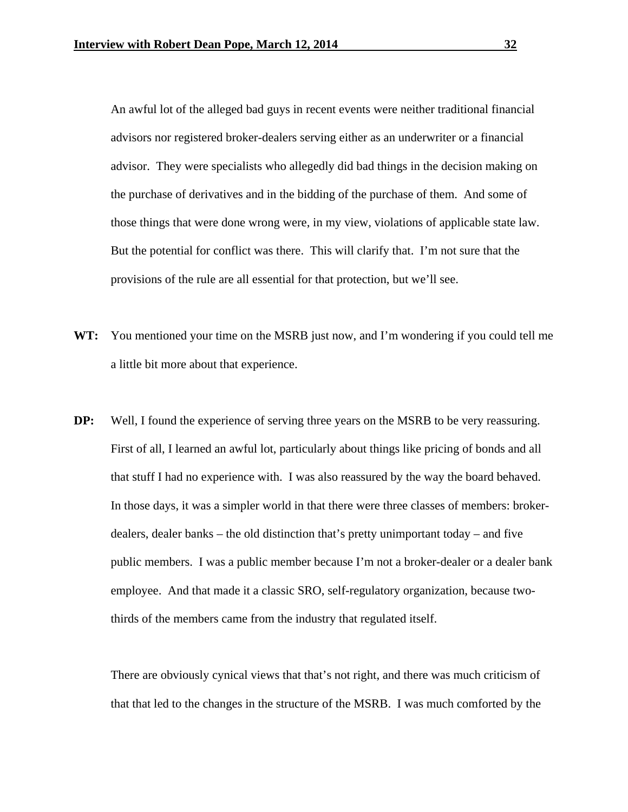An awful lot of the alleged bad guys in recent events were neither traditional financial advisors nor registered broker-dealers serving either as an underwriter or a financial advisor. They were specialists who allegedly did bad things in the decision making on the purchase of derivatives and in the bidding of the purchase of them. And some of those things that were done wrong were, in my view, violations of applicable state law. But the potential for conflict was there. This will clarify that. I'm not sure that the provisions of the rule are all essential for that protection, but we'll see.

- **WT:** You mentioned your time on the MSRB just now, and I'm wondering if you could tell me a little bit more about that experience.
- **DP:** Well, I found the experience of serving three years on the MSRB to be very reassuring. First of all, I learned an awful lot, particularly about things like pricing of bonds and all that stuff I had no experience with. I was also reassured by the way the board behaved. In those days, it was a simpler world in that there were three classes of members: brokerdealers, dealer banks – the old distinction that's pretty unimportant today – and five public members. I was a public member because I'm not a broker-dealer or a dealer bank employee. And that made it a classic SRO, self-regulatory organization, because twothirds of the members came from the industry that regulated itself.

 There are obviously cynical views that that's not right, and there was much criticism of that that led to the changes in the structure of the MSRB. I was much comforted by the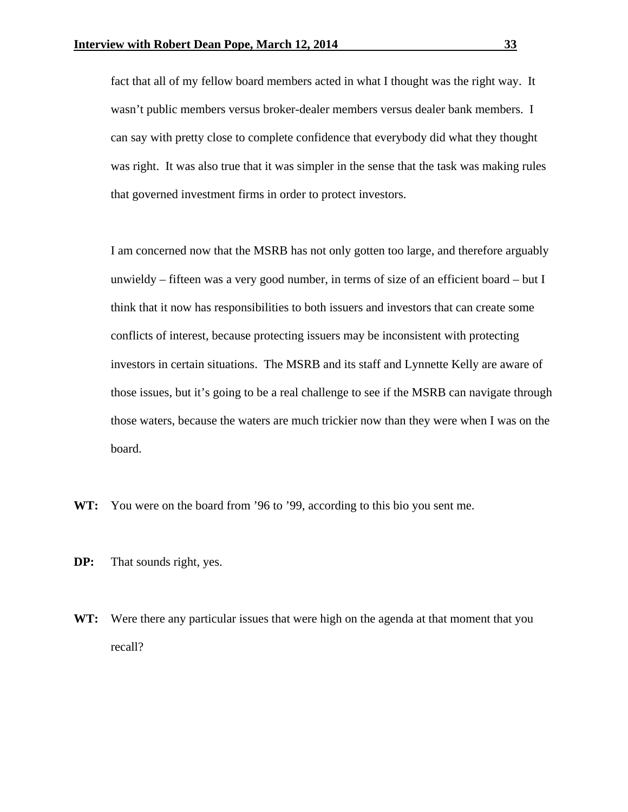fact that all of my fellow board members acted in what I thought was the right way. It wasn't public members versus broker-dealer members versus dealer bank members. I can say with pretty close to complete confidence that everybody did what they thought was right. It was also true that it was simpler in the sense that the task was making rules that governed investment firms in order to protect investors.

 I am concerned now that the MSRB has not only gotten too large, and therefore arguably unwieldy – fifteen was a very good number, in terms of size of an efficient board – but I think that it now has responsibilities to both issuers and investors that can create some conflicts of interest, because protecting issuers may be inconsistent with protecting investors in certain situations. The MSRB and its staff and Lynnette Kelly are aware of those issues, but it's going to be a real challenge to see if the MSRB can navigate through those waters, because the waters are much trickier now than they were when I was on the board.

- **WT:** You were on the board from '96 to '99, according to this bio you sent me.
- **DP:** That sounds right, yes.
- **WT:** Were there any particular issues that were high on the agenda at that moment that you recall?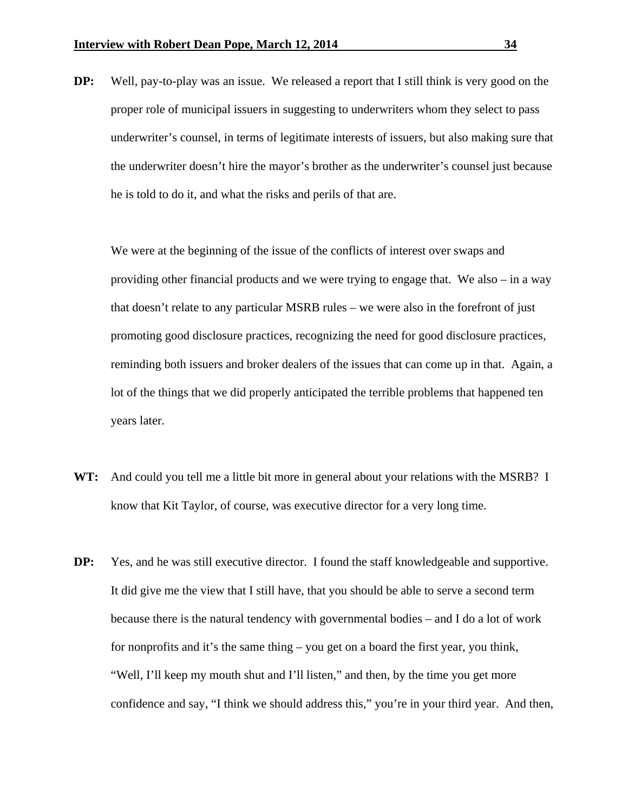**DP:** Well, pay-to-play was an issue. We released a report that I still think is very good on the proper role of municipal issuers in suggesting to underwriters whom they select to pass underwriter's counsel, in terms of legitimate interests of issuers, but also making sure that the underwriter doesn't hire the mayor's brother as the underwriter's counsel just because he is told to do it, and what the risks and perils of that are.

 We were at the beginning of the issue of the conflicts of interest over swaps and providing other financial products and we were trying to engage that. We also – in a way that doesn't relate to any particular MSRB rules – we were also in the forefront of just promoting good disclosure practices, recognizing the need for good disclosure practices, reminding both issuers and broker dealers of the issues that can come up in that. Again, a lot of the things that we did properly anticipated the terrible problems that happened ten years later.

- **WT:** And could you tell me a little bit more in general about your relations with the MSRB? I know that Kit Taylor, of course, was executive director for a very long time.
- **DP:** Yes, and he was still executive director. I found the staff knowledgeable and supportive. It did give me the view that I still have, that you should be able to serve a second term because there is the natural tendency with governmental bodies – and I do a lot of work for nonprofits and it's the same thing – you get on a board the first year, you think, "Well, I'll keep my mouth shut and I'll listen," and then, by the time you get more confidence and say, "I think we should address this," you're in your third year. And then,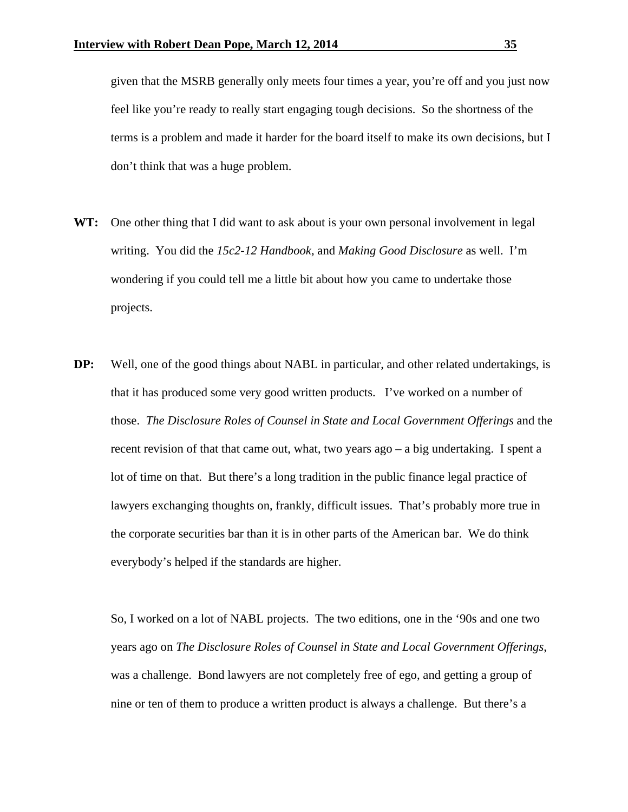given that the MSRB generally only meets four times a year, you're off and you just now feel like you're ready to really start engaging tough decisions. So the shortness of the terms is a problem and made it harder for the board itself to make its own decisions, but I don't think that was a huge problem.

- WT: One other thing that I did want to ask about is your own personal involvement in legal writing. You did the *15c2-12 Handbook*, and *Making Good Disclosure* as well. I'm wondering if you could tell me a little bit about how you came to undertake those projects.
- **DP:** Well, one of the good things about NABL in particular, and other related undertakings, is that it has produced some very good written products. I've worked on a number of those. *The Disclosure Roles of Counsel in State and Local Government Offerings* and the recent revision of that that came out, what, two years ago – a big undertaking. I spent a lot of time on that. But there's a long tradition in the public finance legal practice of lawyers exchanging thoughts on, frankly, difficult issues. That's probably more true in the corporate securities bar than it is in other parts of the American bar. We do think everybody's helped if the standards are higher.

So, I worked on a lot of NABL projects. The two editions, one in the '90s and one two years ago on *The Disclosure Roles of Counsel in State and Local Government Offerings*, was a challenge. Bond lawyers are not completely free of ego, and getting a group of nine or ten of them to produce a written product is always a challenge. But there's a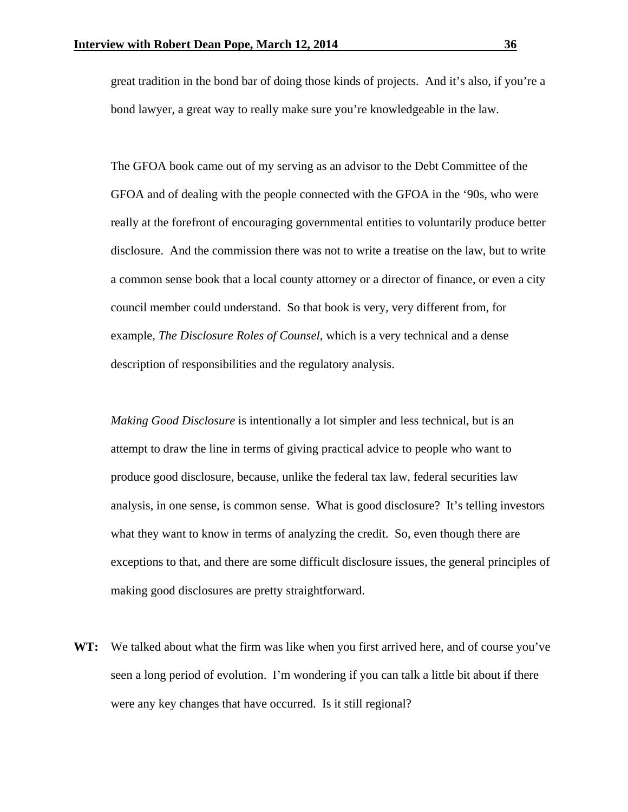great tradition in the bond bar of doing those kinds of projects. And it's also, if you're a bond lawyer, a great way to really make sure you're knowledgeable in the law.

The GFOA book came out of my serving as an advisor to the Debt Committee of the GFOA and of dealing with the people connected with the GFOA in the '90s, who were really at the forefront of encouraging governmental entities to voluntarily produce better disclosure. And the commission there was not to write a treatise on the law, but to write a common sense book that a local county attorney or a director of finance, or even a city council member could understand. So that book is very, very different from, for example, *The Disclosure Roles of Counsel*, which is a very technical and a dense description of responsibilities and the regulatory analysis.

*Making Good Disclosure* is intentionally a lot simpler and less technical, but is an attempt to draw the line in terms of giving practical advice to people who want to produce good disclosure, because, unlike the federal tax law, federal securities law analysis, in one sense, is common sense. What is good disclosure? It's telling investors what they want to know in terms of analyzing the credit. So, even though there are exceptions to that, and there are some difficult disclosure issues, the general principles of making good disclosures are pretty straightforward.

**WT:** We talked about what the firm was like when you first arrived here, and of course you've seen a long period of evolution.I'm wondering if you can talk a little bit about if there were any key changes that have occurred. Is it still regional?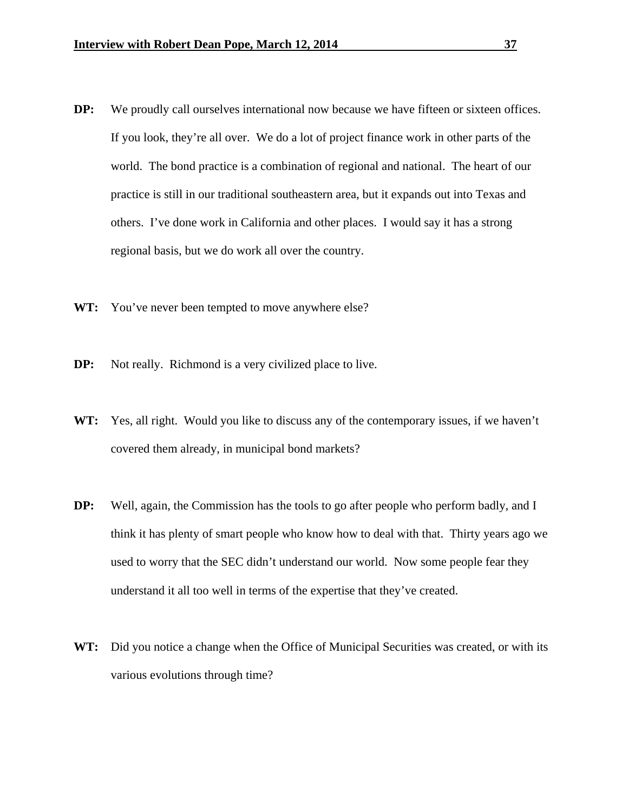- **DP:** We proudly call ourselves international now because we have fifteen or sixteen offices. If you look, they're all over. We do a lot of project finance work in other parts of the world. The bond practice is a combination of regional and national. The heart of our practice is still in our traditional southeastern area, but it expands out into Texas and others. I've done work in California and other places. I would say it has a strong regional basis, but we do work all over the country.
- **WT:** You've never been tempted to move anywhere else?
- **DP:** Not really. Richmond is a very civilized place to live.
- **WT:** Yes, all right. Would you like to discuss any of the contemporary issues, if we haven't covered them already, in municipal bond markets?
- **DP:** Well, again, the Commission has the tools to go after people who perform badly, and I think it has plenty of smart people who know how to deal with that. Thirty years ago we used to worry that the SEC didn't understand our world. Now some people fear they understand it all too well in terms of the expertise that they've created.
- WT: Did you notice a change when the Office of Municipal Securities was created, or with its various evolutions through time?